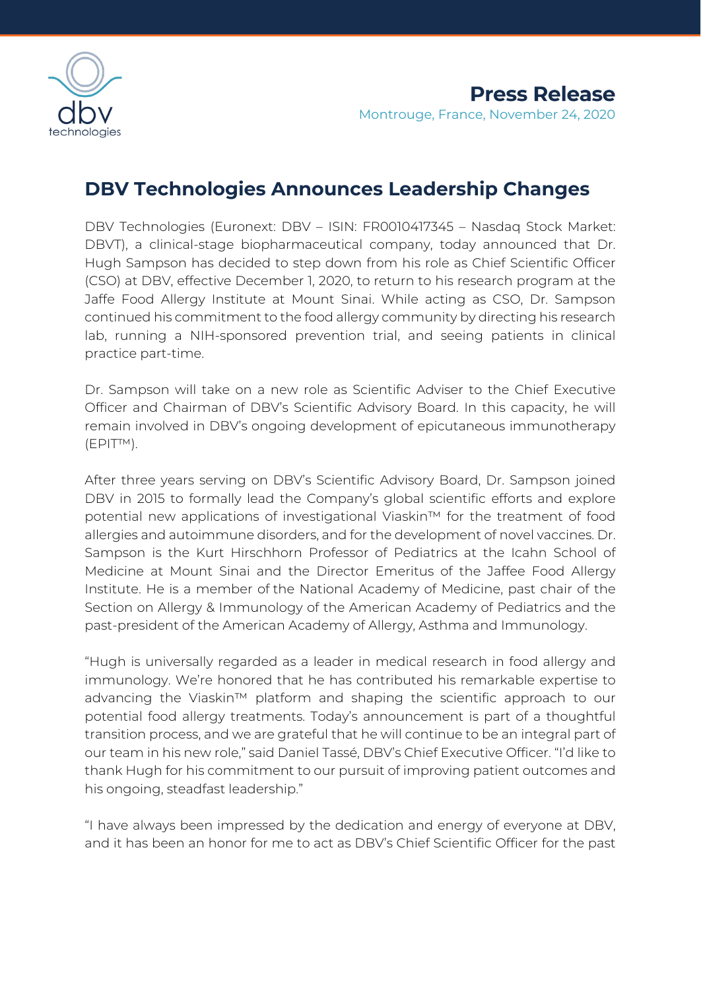

## **DBV Technologies Announces Leadership Changes**

DBV Technologies (Euronext: DBV – ISIN: FR0010417345 – Nasdaq Stock Market: DBVT), a clinical-stage biopharmaceutical company, today announced that Dr. Hugh Sampson has decided to step down from his role as Chief Scientific Officer (CSO) at DBV, effective December 1, 2020, to return to his research program at the Jaffe Food Allergy Institute at Mount Sinai. While acting as CSO, Dr. Sampson continued his commitment to the food allergy community by directing his research lab, running a NIH-sponsored prevention trial, and seeing patients in clinical practice part-time.

Dr. Sampson will take on a new role as Scientific Adviser to the Chief Executive Officer and Chairman of DBV's Scientific Advisory Board. In this capacity, he will remain involved in DBV's ongoing development of epicutaneous immunotherapy (EPIT™).

After three years serving on DBV's Scientific Advisory Board, Dr. Sampson joined DBV in 2015 to formally lead the Company's global scientific efforts and explore potential new applications of investigational Viaskin™ for the treatment of food allergies and autoimmune disorders, and for the development of novel vaccines. Dr. Sampson is the Kurt Hirschhorn Professor of Pediatrics at the Icahn School of Medicine at Mount Sinai and the Director Emeritus of the Jaffee Food Allergy Institute. He is a member of the National Academy of Medicine, past chair of the Section on Allergy & Immunology of the American Academy of Pediatrics and the past-president of the American Academy of Allergy, Asthma and Immunology.

"Hugh is universally regarded as a leader in medical research in food allergy and immunology. We're honored that he has contributed his remarkable expertise to advancing the Viaskin™ platform and shaping the scientific approach to our potential food allergy treatments. Today's announcement is part of a thoughtful transition process, and we are grateful that he will continue to be an integral part of our team in his new role," said Daniel Tassé, DBV's Chief Executive Officer. "I'd like to thank Hugh for his commitment to our pursuit of improving patient outcomes and his ongoing, steadfast leadership."

"I have always been impressed by the dedication and energy of everyone at DBV, and it has been an honor for me to act as DBV's Chief Scientific Officer for the past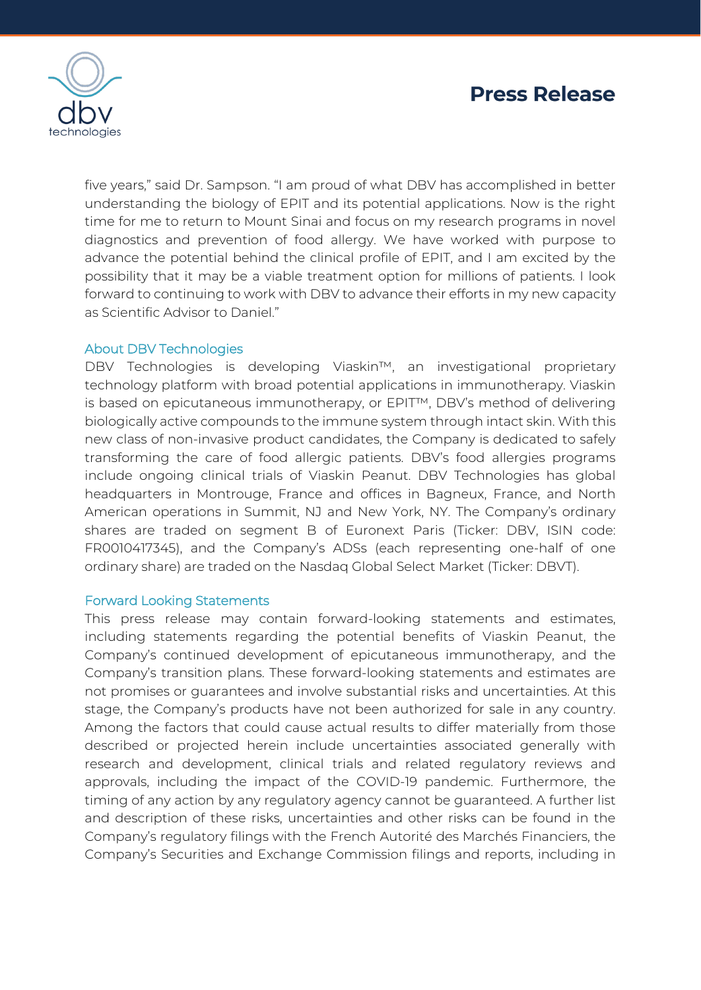

five years," said Dr. Sampson. "I am proud of what DBV has accomplished in better understanding the biology of EPIT and its potential applications. Now is the right time for me to return to Mount Sinai and focus on my research programs in novel diagnostics and prevention of food allergy. We have worked with purpose to advance the potential behind the clinical profile of EPIT, and I am excited by the possibility that it may be a viable treatment option for millions of patients. I look forward to continuing to work with DBV to advance their efforts in my new capacity as Scientific Advisor to Daniel."

## About DBV Technologies

DBV Technologies is developing Viaskin™, an investigational proprietary technology platform with broad potential applications in immunotherapy. Viaskin is based on epicutaneous immunotherapy, or EPIT™, DBV's method of delivering biologically active compounds to the immune system through intact skin. With this new class of non-invasive product candidates, the Company is dedicated to safely transforming the care of food allergic patients. DBV's food allergies programs include ongoing clinical trials of Viaskin Peanut. DBV Technologies has global headquarters in Montrouge, France and offices in Bagneux, France, and North American operations in Summit, NJ and New York, NY. The Company's ordinary shares are traded on segment B of Euronext Paris (Ticker: DBV, ISIN code: FR0010417345), and the Company's ADSs (each representing one-half of one ordinary share) are traded on the Nasdaq Global Select Market (Ticker: DBVT).

## Forward Looking Statements

This press release may contain forward-looking statements and estimates, including statements regarding the potential benefits of Viaskin Peanut, the Company's continued development of epicutaneous immunotherapy, and the Company's transition plans. These forward-looking statements and estimates are not promises or guarantees and involve substantial risks and uncertainties. At this stage, the Company's products have not been authorized for sale in any country. Among the factors that could cause actual results to differ materially from those described or projected herein include uncertainties associated generally with research and development, clinical trials and related regulatory reviews and approvals, including the impact of the COVID-19 pandemic. Furthermore, the timing of any action by any regulatory agency cannot be guaranteed. A further list and description of these risks, uncertainties and other risks can be found in the Company's regulatory filings with the French Autorité des Marchés Financiers, the Company's Securities and Exchange Commission filings and reports, including in